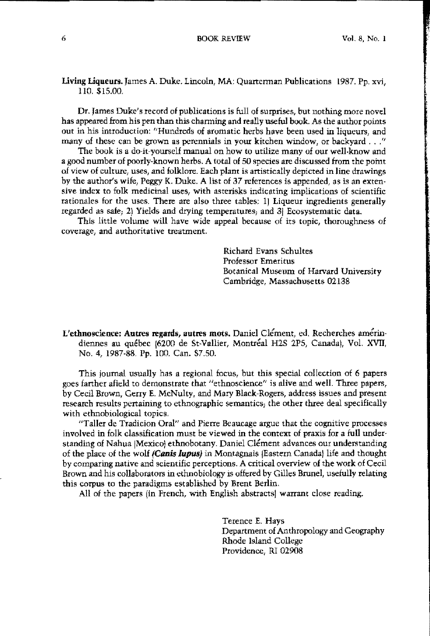# Living Liqueurs. James A. Duke. Lincoln, MA: Quartennan Publications 1987. Pp. xvi, 110. \$15.00.

Dr. James Duke's record of publications is full of surprises, but nothing more novel has appeared from his pen than this charming and really useful book. As the author points out m his introduction: "Hundreds of aromatic herbs have been used in liqueurs, and many of these can be grown as perennials in your kitchen window, or backyard  $\dots$ ."

The book is a do-it-yoursell manual on how to utilize many of our well-know and a good number of poorly·known herbs. A total of 50 species are discussed from the point of view of culture, uses, and folklore. Each plant is artistically depicted m line drawings by the author's wife, Peggy K. Duke. A list of 37 referenees is appended, as is an extensive index to folk medicinal uses, with asterisks indicating implications of scientific rationales for the uses. There are also three tables: II Liqueur ingredients generally regarded as safe; 2) Yields and drying temperatnres, and 3( Beosystematic data.

This little volume will have wide appeal because of its topic, thoroughness of **coverage, and authoritative treatment.**

> Richard Evans Schultes Professor Emeritus Botanical Muscum of Harvard University Cambridge, Massachusetts 02138

L'ethnoscience: Autres regards, autres mots. Daniel Clément, ed. Recherches amérindiennes au québec (6200 de St-Vallier, Montréal H2S 2P5, Canada), Vol. XVII, No.4, 1987·88. Pp. 100. Can. \$7.50.

This journal usually has a regional focus, but this special collection of 6 papers goes farther afield to demonstrate that "ethnoscience" is alive and well. Three papers, by Cecil Brown, Cerry E. McNulty, and Mary Black-Rogers, address issues and present research results pertaining to ethnographic semantics, the other three deal specifically with ethnobiological topics.

"Taller de Tradicion Oral" and Pierre Beaucage argue that the cognitive processes involved in folk classification must be viewed in the eontext of praxis for a full understanding of Nahua (Mexico) ethnobotany. Daniel Clément advances our understanding of the place of the wolf (Canis lupus) in Montagnais (Eastern Canada) life and thought by comparing native and scientific perceptions. A critical overview of the work of Cecil Brown and his collaborators in ethnobiology is offered by Gilles Brunel, usefully relating this corpus to the paradigms established by Brent Berlin,

All of the papers (in French, with English abstracts) warrant close reading.

Terence E, Hays Department of Anthropology and Geography Rhode Island College Providence, RI 02908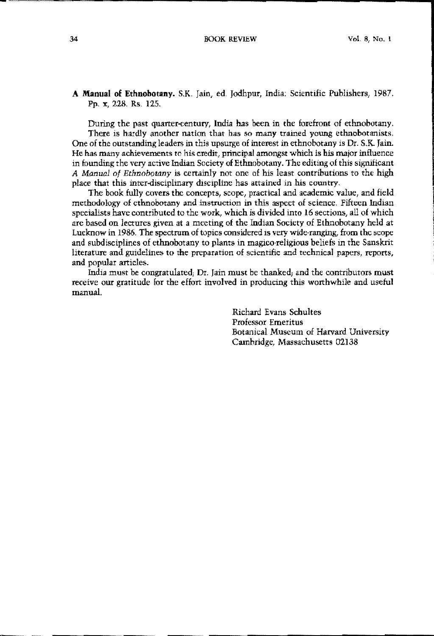# **A Manual of Ethnobotany.** S.K. Jain, ed. Jodhpur, India: Scientific Publishers, 1987. pp. x, 228. Rs. 125.

During the past quarter-century, India has been in the forefront of ethnobotany. There is hardly another nation that has so many trained young ethnobotanists. One of the outstanding leaders in this upsurge of interest in ethnobotany is Dr. S.K. Jain. He has many achievements to his credit, principal amongst which is his major influence in founding the very aetive Indian Society of Ethnobotany. The editing of this significant *A Manual of Ethnobotany* is certainly not ene of his least contributions to the high place that this inter-disciplinary discipline has attained in his country.

The bock fully covers the concepts, scope, practical and academic value, and field methodology of cthnobotany and instruction in this aspect of science. Fifteen Indian specialists have contributed to the work, which is divided into 16 sections, all of which are based on lectures given at a meeting of the Indian Society of Etbuobotany held at Lucknow in 1986. The spectrum of topics considered is very wide-ranging, from the scope and subdisciplines of ethnobotany to plants in magico·religious beliefs in the Sanskrit **literature and guidelines to the preparation of scientific and technical papers, reports,** and popular articles.

India must be congratulated, Dr. Jain must be thanked, and the contributors must receive our gratitude for the effort involved in producing this worthwhile and useful manual.

> Richard Evans Schultes Professor Emeritus Botanical Museum of Harvard University Cambridge, Massachusetts 02138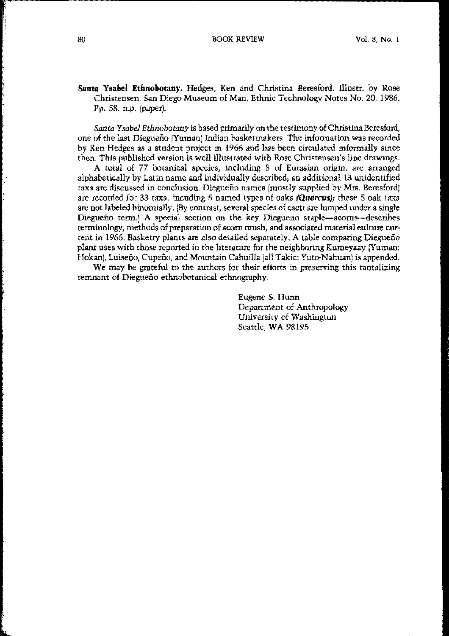# Santa Ysabel Ethnobotany. Hedges, Ken and Christina Beresford. Illustr. by Rose Christensen. San Diego Museum of Man, Ethnic Technology Notes No. 20. 1986. Pp. 58. n.p. (paper).

Santa Ysabel Ethnobotany is based primarily on the testimony of Christina Beresford, one of the last Diegueño (Yuman) Indian basketmakers. The information was recorded by Ken Hedges as a student project in 1966 and has been circulated informally since then. This published version is well illustrated with Rose Christensen's line drawings.

A total of 77 botanical species, including 8 of Eurasian origin, are arranged alphabetically by Latin name and individually described; an additional 13 unidentified taxa are discussed in conclusion. Diegueño names (mostly supplied by Mrs. Beresford) are recorded for 33 taxa, incuding 5 named types of oaks (Quercus); these 5 oak taxa are not labeled binomially. (By contrast, several species of cacti are lumped under a single Diegueño term.) A special section on the key Diegueno staple-acorns-describes terminology, methods of preparation of acorn mush, and associated material eulture current in 1966. Basketry plants are also detailed separately. A table comparing Diegueño plant uses with those reported in the literature for the neighboring Kumeyaay [Yuman: Hokan], Luiseño, Cupeño, and Mountain Cahuilla (all Takic: Yuto-Nahuan) is appended.

We may be grateful to the authors for their efforts in preserving this tantalizing remnant of Diegueño ethnobotanical ethnography.

> Eugene S, Hunn Department of Anthropology University of Washington Seattle, WA 98195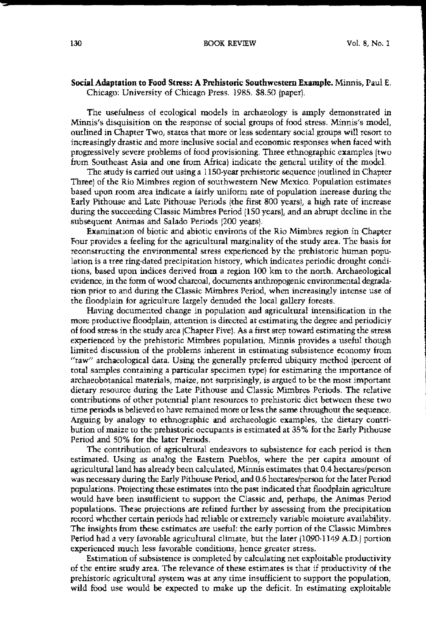### **Social Adaptation to Food Stress: A Prehistoric Southwestern Example.** Minnis, Paul E, Chicago; University of Chicago Press. 1985. S8.50 (paper),

The usefulness of ecological models in archaeology is amply demonstrated in **Minnis<sup>1</sup> s disquisition on the response of social groups of food stress. Minnis's model,** outlined in Chapter Two, states that more Ot less sedentary social groups will resort to **increasingly drastic and more inclusive social and economic responses when faced with** progressively severe prohlems of food provisioning, Three ethnographic examples Itwo from Southeast Asia and one from Africa) indicate the general utility of the model.

The study is carried out using a 1150·year prehistoric sequence (outlined in Chapter Three) of the Rio Mimbres region of southwestern New Mexico. Population estimates based upon room area indicate a fairly uniform rate of population inerease during the Early Pithouse and Late Pithouse Periods (the first 800 yearsI, a high rate of increase during the succeeding Classic Mimbres Period (150 years), and an abrupt decline in the subsequent Animas and Salado Periods (200 years),

Examination of biotic and abiotic environs of the Rio Mimbres region in Chapter Four provides a feeling for the agricultural marginality of the study area. The basis for reconstructing the environmental stress experienced by the prehistoric human popu· lation is a tree ring-dated precipitation history, which indicates periodic drought conditions, based upon indices derived from a region 100 km to the north. Archaeological evidence, in the form of wood charcoal, documents anthropogenic environmental degrada. tion prior to and during the Classic Mimbres Period, when increasingly intense use of the floodplain for agriculture largely denuded the local gallety forests,

Having documented change in population and agricultural intensification in the more productive floodplain, attention is directed at estimating the degree and periodiciy of food stress in the study area (Chapter Five). As a first step toward estimating the stress experienced by the prehistoric Mimbres population, Minnis provides a useful though limited discussion of the problems inherent in estimating subsistence economy from "raw" archaeological data. Using the generally preferred ubiqulty method (percent of total samples containing a particular specimen type) for estimating the importance of archaeobotanical materials, maize, not surprisingly, is atgued to be the most important dietary resource during the Late Pithouse and Classic Mimbres Periods. The relative contributions of other potential plant resources to prehistoric diet between these two time periods is believed to have remained more orless the same throughout the sequence, Arguing by analogy to ethnographic and archaeologic examples, the dietary contri· bution of maize to the prehistorie occupants is estimated at 35% for the Early Pithouse Period and 50% for the later Periods.

The contribution of agricultural endeavors to subsistence for each period is then estimated, Using as analog the Eastern Pueblos, where the per capita amount of agricultural land has already been calculated, Minnis estimates that 0.4 hectarcsiperson was necessary during the Early Pithouse Period, and 0,6 hectares/person for the later Period populations. Projecting these estimates into the past indicated that floodplain agriculture would have been insufficient to support the Classic and, perhaps, the Animas Period populations. These projections are relined further by assessing Itom the precipitation record whether certain periods had reliable or extremely variable moisture availability. The insights from these estimates are useful; the early portion of the Classic Mimbres Period had a very favorable agricultural climate, but the later (1090-1149 A.D.) portion **experienced much less favorable conditions, hence greater stress.**

Estimation of subsistence is completed by calculating net exploitable productivity of the entire study area. The relevance of these estimates is that if productivity of the prehistoric agricultutal system was at any time insufficient to support the population, wild food use would be expected to make up the deficit. In estimating exploitable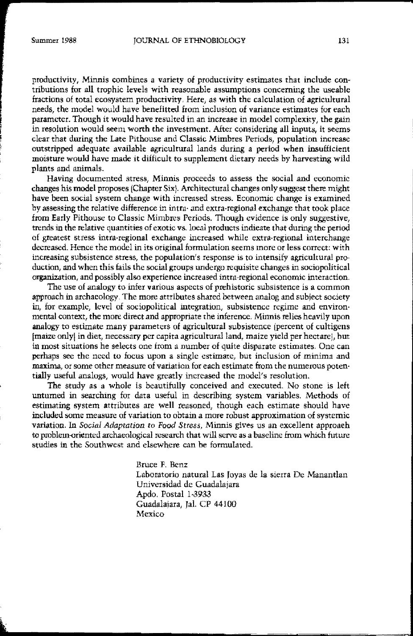productivity, Minnis combines a variety of productivity estimates that include contributions for all trophic levels with reasonable assumptions concerning the useable fractions of total ecosystem productivity. Here, as with the calculation of agricultural needs, the model would have benefitted from inclusion of variance estimates for each parameter. Though it would have resulted in an increase in model complexity, the gain in resolution would seem worth the investment. After considering all inputs, it seems clear that during the Late Pithouse and Classic Mimbres Periods, population increase outstripped adequate available agricultural lands during a period when insufficient moisture would have made it difficult to supplement dietary needs by harvesting wild plants and animals.

HAving documented stress, Minnis proceeds to assess the social and economic changes his model proposes (Chapter Six!. Architectural changes only suggest there might **have been social system change with increased stress. Economic change is examined** by assessing the relative difference in intra· and extra·regional exchange that took place from Early Pithouse to Classic Mimbres Periods. Though evidence is only suggestive, trends in the relative quantities of exotic vs. loeal products indicate that during the period of greatest stress intra-regional exchange increased while extra-regional interchange decreased. Hence the model in its original formulation seems more or less correct: with **increasing** subsistence stress, the population's response is to intensify agricultural production, and when this fails the social groups undergo requisite changes in sociopolitical **organization, and possibly also experience increased intra-regional economic interaction.**

The use of analogy to infer various aspects of prehistoric subsistence is a common approach in archaeology. The more attributes shared between analog and subject society  $i$ n, for example, level of sociopolitical integration, subsistence regime and environmental context, tbe more direct and appropriate the inlerence, Minnis relies heavily upon analogy to estimate many parameters of agricultural subsistence (percent of cultigens (maize onlYI in diet, necessary per capita agricultural land, maize yield per hectareJ, but in most situations he selects one from a number of quite disparate estimates. One can perhaps see the need to focus upon a single estimate, but inclusion of minima and **maxima, or some other measure of variation for each estimate from the numerous paten·** tially useful analogs, would have greatly increased the model's resolution.

The study as a whole is beautifully conceived and executed. No stone is left untumed in searching for data uselui in describing system variables, Methods of estimatiug system attributes are well reasoned, though each estimate should bave **included some measme of variation to obtain it more robust approximation of systemic** variation. In *Social Adaptation to Food Stress*, Minnis gives us an excellent approach te problem-oriented archaeological research that will serve as a baseline from which future studies in the Southwest and elsewhere can be formulated.

> Bruce F, Benz Laboratorio natural Las Joyas de la sierra De Manantlan Universidad de Guadalajara Apdo, Postal 1-3933 Guadalajara, Jal. CP 44100 **Mexico**